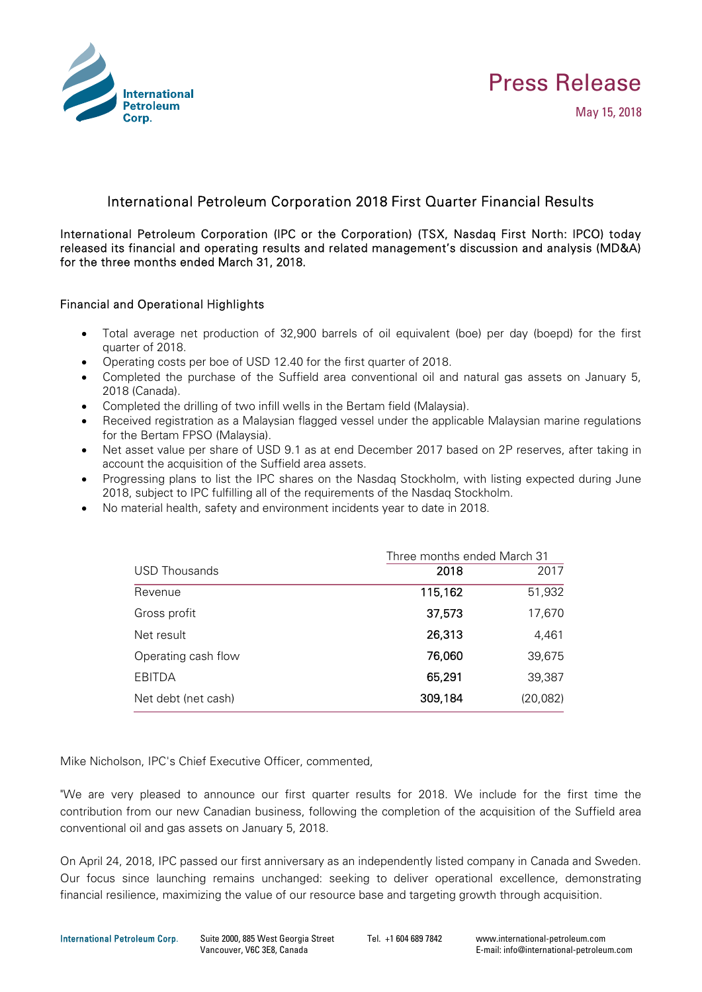

# Press Release

May 15, 2018

## International Petroleum Corporation 2018 First Quarter Financial Results

International Petroleum Corporation (IPC or the Corporation) (TSX, Nasdaq First North: IPCO) today released its financial and operating results and related management's discussion and analysis (MD&A) for the three months ended March 31, 2018.

### Financial and Operational Highlights

- Total average net production of 32,900 barrels of oil equivalent (boe) per day (boepd) for the first quarter of 2018.
- Operating costs per boe of USD 12.40 for the first quarter of 2018.
- Completed the purchase of the Suffield area conventional oil and natural gas assets on January 5, 2018 (Canada).
- Completed the drilling of two infill wells in the Bertam field (Malaysia).
- Received registration as a Malaysian flagged vessel under the applicable Malaysian marine regulations for the Bertam FPSO (Malaysia).
- Net asset value per share of USD 9.1 as at end December 2017 based on 2P reserves, after taking in account the acquisition of the Suffield area assets.
- Progressing plans to list the IPC shares on the Nasdaq Stockholm, with listing expected during June 2018, subject to IPC fulfilling all of the requirements of the Nasdaq Stockholm.
- No material health, safety and environment incidents year to date in 2018.

| <b>USD Thousands</b> | Three months ended March 31 |          |
|----------------------|-----------------------------|----------|
|                      | 2018                        | 2017     |
| Revenue              | 115,162                     | 51,932   |
| Gross profit         | 37,573                      | 17,670   |
| Net result           | 26,313                      | 4,461    |
| Operating cash flow  | 76,060                      | 39,675   |
| EBITDA               | 65,291                      | 39,387   |
| Net debt (net cash)  | 309,184                     | (20,082) |

Mike Nicholson, IPC's Chief Executive Officer, commented,

"We are very pleased to announce our first quarter results for 2018. We include for the first time the contribution from our new Canadian business, following the completion of the acquisition of the Suffield area conventional oil and gas assets on January 5, 2018.

On April 24, 2018, IPC passed our first anniversary as an independently listed company in Canada and Sweden. Our focus since launching remains unchanged: seeking to deliver operational excellence, demonstrating financial resilience, maximizing the value of our resource base and targeting growth through acquisition.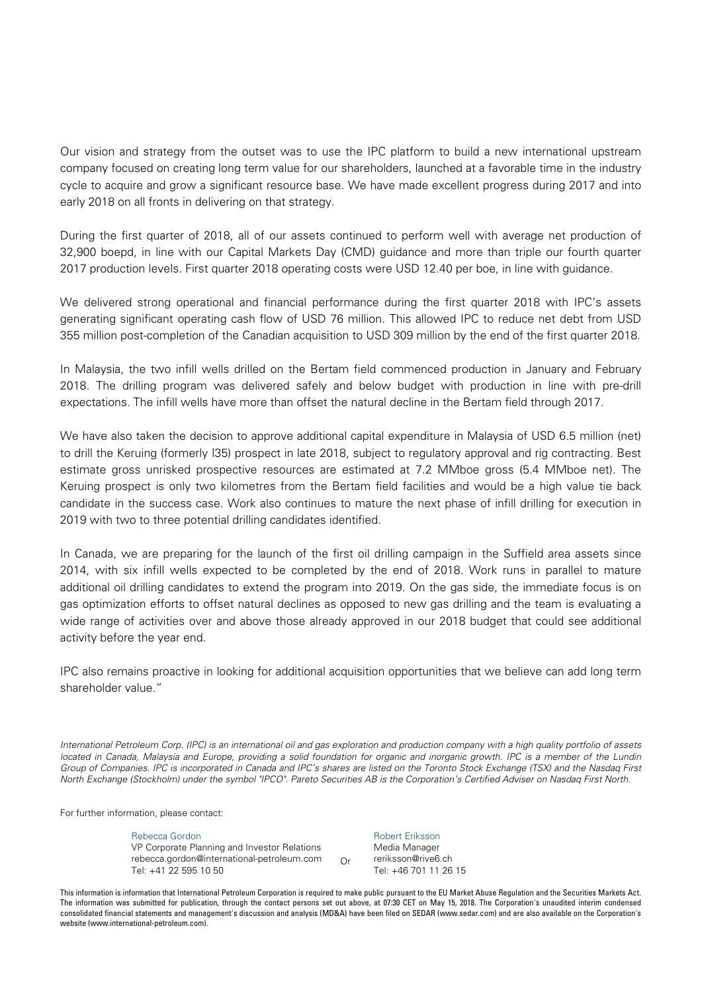Our vision and strategy from the outset was to use the IPC platform to build a new international upstream company focused on creating long term value for our shareholders, launched at a favorable time in the industry cycle to acquire and grow a significant resource base. We have made excellent progress during 2017 and into early 2018 on all fronts in delivering on that strategy.

During the first quarter of 2018, all of our assets continued to perform well with average net production of 32,900 boepd, in line with our Capital Markets Day (CMD) guidance and more than triple our fourth quarter 2017 production levels. First quarter 2018 operating costs were USD 12.40 per boe, in line with guidance.

We delivered strong operational and financial performance during the first quarter 2018 with IPC's assets generating significant operating cash flow of USD 76 million. This allowed IPC to reduce net debt from USD 355 million post-completion of the Canadian acquisition to USD 309 million by the end of the first quarter 2018.

In Malaysia, the two infill wells drilled on the Bertam field commenced production in January and February 2018. The drilling program was delivered safely and below budget with production in line with pre-drill expectations. The infill wells have more than offset the natural decline in the Bertam field through 2017.

We have also taken the decision to approve additional capital expenditure in Malaysia of USD 6.5 million (net) to drill the Keruing (formerly I35) prospect in late 2018, subject to regulatory approval and rig contracting. Best estimate gross unrisked prospective resources are estimated at 7.2 MMboe gross (5.4 MMboe net). The Keruing prospect is only two kilometres from the Bertam field facilities and would be a high value tie back candidate in the success case. Work also continues to mature the next phase of infill drilling for execution in 2019 with two to three potential drilling candidates identified.

In Canada, we are preparing for the launch of the first oil drilling campaign in the Suffield area assets since 2014, with six infill wells expected to be completed by the end of 2018. Work runs in parallel to mature additional oil drilling candidates to extend the program into 2019. On the gas side, the immediate focus is on gas optimization efforts to offset natural declines as opposed to new gas drilling and the team is evaluating a wide range of activities over and above those already approved in our 2018 budget that could see additional activity before the year end.

IPC also remains proactive in looking for additional acquisition opportunities that we believe can add long term shareholder value."

*International Petroleum Corp. (IPC) is an international oil and gas exploration and production company with a high quality portfolio of assets located in Canada, Malaysia and Europe, providing a solid foundation for organic and inorganic growth. IPC is a member of the Lundin Group of Companies. IPC is incorporated in Canada and IPC's shares are listed on the Toronto Stock Exchange (TSX) and the Nasdaq First North Exchange (Stockholm) under the symbol "IPCO". Pareto Securities AB is the Corporation's Certified Adviser on Nasdaq First North.* 

For further information, please contact:

Rebecca Gordon VP Corporate Planning and Investor Relations rebecca.gordon@international-petroleum.com Tel: +41 22 595 10 50

Robert Eriksson Media Manager reriksson@rive6.ch Tel: +46 701 11 26 15

This information is information that International Petroleum Corporation is required to make public pursuant to the EU Market Abuse Regulation and the Securities Markets Act. The information was submitted for publication, through the contact persons set out above, at 07:30 CET on May 15, 2018. The Corporation's unaudited interim condensed consolidated financial statements and management's discussion and analysis (MD&A) have been filed on SEDAR (www.sedar.com) and are also available on the Corporation's website (www.international-petroleum.com).

Or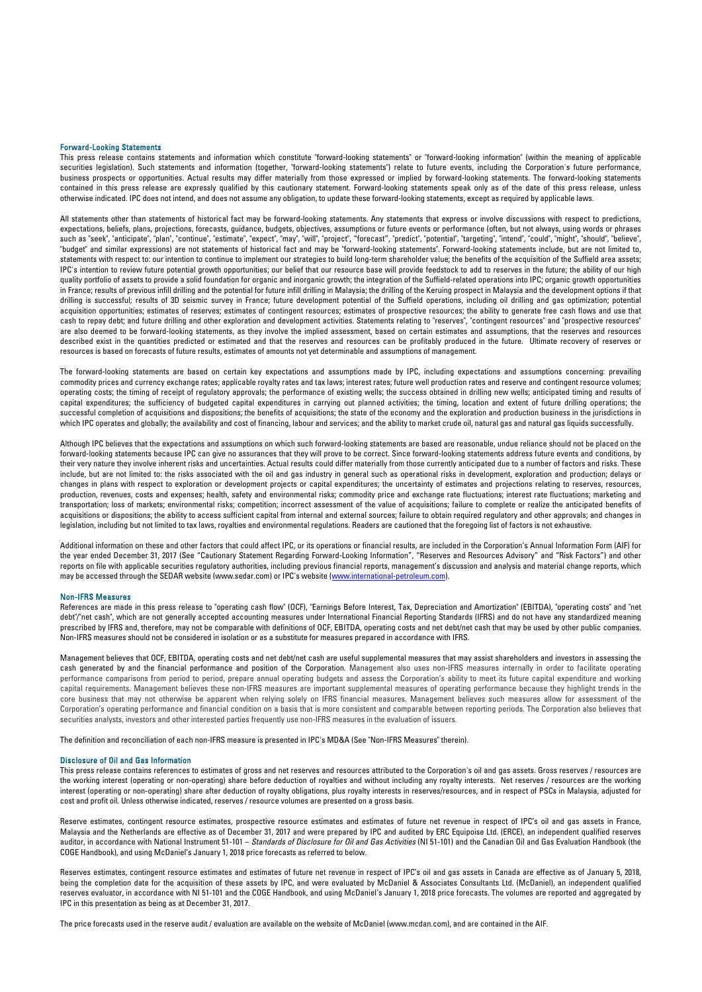#### Forward-Looking Statements

This press release contains statements and information which constitute "forward-looking statements" or "forward-looking information" (within the meaning of applicable securities legislation). Such statements and information (together, "forward-looking statements") relate to future events, including the Corporation's future performance, business prospects or opportunities. Actual results may differ materially from those expressed or implied by forward-looking statements. The forward-looking statements contained in this press release are expressly qualified by this cautionary statement. Forward-looking statements speak only as of the date of this press release, unless otherwise indicated. IPC does not intend, and does not assume any obligation, to update these forward-looking statements, except as required by applicable laws.

All statements other than statements of historical fact may be forward-looking statements. Any statements that express or involve discussions with respect to predictions, expectations, beliefs, plans, projections, forecasts, guidance, budgets, objectives, assumptions or future events or performance (often, but not always, using words or phrases such as "seek", "anticipate", "plan", "continue", "estimate", "expect", "may", "will", "project", "forecast", "predict", "potential", "targeting", "intend", "could", "might", "should", "believe", "budget" and similar expressions) are not statements of historical fact and may be "forward-looking statements". Forward-looking statements include, but are not limited to, statements with respect to: our intention to continue to implement our strategies to build long-term shareholder value; the benefits of the acquisition of the Suffield area assets; IPC's intention to review future potential growth opportunities; our belief that our resource base will provide feedstock to add to reserves in the future; the ability of our high quality portfolio of assets to provide a solid foundation for organic and inorganic growth; the integration of the Suffield-related operations into IPC; organic growth opportunities in France; results of previous infill drilling and the potential for future infill drilling in Malaysia; the drilling of the Keruing prospect in Malaysia and the development options if that drilling is successful; results of 3D seismic survey in France; future development potential of the Suffield operations, including oil drilling and gas optimization; potential acquisition opportunities; estimates of reserves; estimates of contingent resources; estimates of prospective resources; the ability to generate free cash flows and use that cash to repay debt; and future drilling and other exploration and development activities. Statements relating to "reserves", "contingent resources" and "prospective resources" are also deemed to be forward-looking statements, as they involve the implied assessment, based on certain estimates and assumptions, that the reserves and resources described exist in the quantities predicted or estimated and that the reserves and resources can be profitably produced in the future. Ultimate recovery of reserves or resources is based on forecasts of future results, estimates of amounts not yet determinable and assumptions of management.

The forward-looking statements are based on certain key expectations and assumptions made by IPC, including expectations and assumptions concerning: prevailing commodity prices and currency exchange rates; applicable royalty rates and tax laws; interest rates; future well production rates and reserve and contingent resource volumes; operating costs; the timing of receipt of regulatory approvals; the performance of existing wells; the success obtained in drilling new wells; anticipated timing and results of capital expenditures; the sufficiency of budgeted capital expenditures in carrying out planned activities; the timing, location and extent of future drilling operations; the successful completion of acquisitions and dispositions; the benefits of acquisitions; the state of the economy and the exploration and production business in the jurisdictions in which IPC operates and globally; the availability and cost of financing, labour and services; and the ability to market crude oil, natural gas and natural gas liquids successfully.

Although IPC believes that the expectations and assumptions on which such forward-looking statements are based are reasonable, undue reliance should not be placed on the forward-looking statements because IPC can give no assurances that they will prove to be correct. Since forward-looking statements address future events and conditions, by their very nature they involve inherent risks and uncertainties. Actual results could differ materially from those currently anticipated due to a number of factors and risks. These include, but are not limited to: the risks associated with the oil and gas industry in general such as operational risks in development, exploration and production; delays or changes in plans with respect to exploration or development projects or capital expenditures; the uncertainty of estimates and projections relating to reserves, resources, production, revenues, costs and expenses; health, safety and environmental risks; commodity price and exchange rate fluctuations; interest rate fluctuations; marketing and transportation; loss of markets; environmental risks; competition; incorrect assessment of the value of acquisitions; failure to complete or realize the anticipated benefits of acquisitions or dispositions; the ability to access sufficient capital from internal and external sources; failure to obtain required regulatory and other approvals; and changes in legislation, including but not limited to tax laws, royalties and environmental regulations. Readers are cautioned that the foregoing list of factors is not exhaustive.

Additional information on these and other factors that could affect IPC, or its operations or financial results, are included in the Corporation's Annual Information Form (AIF) for the year ended December 31, 2017 (See "Cautionary Statement Regarding Forward-Looking Information", "Reserves and Resources Advisory" and "Risk Factors") and other reports on file with applicable securities regulatory authorities, including previous financial reports, management's discussion and analysis and material change reports, which may be accessed through the SEDAR website (www.sedar.com) or IPC's website (www.international-petroleum.com).

#### Non-IFRS Measures

References are made in this press release to "operating cash flow" (OCF), "Earnings Before Interest, Tax, Depreciation and Amortization" (EBITDA), "operating costs" and "net debt"/"net cash", which are not generally accepted accounting measures under International Financial Reporting Standards (IFRS) and do not have any standardized meaning prescribed by IFRS and, therefore, may not be comparable with definitions of OCF, EBITDA, operating costs and net debt/net cash that may be used by other public companies. Non-IFRS measures should not be considered in isolation or as a substitute for measures prepared in accordance with IFRS.

Management believes that OCF, EBITDA, operating costs and net debt/net cash are useful supplemental measures that may assist shareholders and investors in assessing the cash generated by and the financial performance and position of the Corporation. Management also uses non-IFRS measures internally in order to facilitate operating performance comparisons from period to period, prepare annual operating budgets and assess the Corporation's ability to meet its future capital expenditure and working capital requirements. Management believes these non-IFRS measures are important supplemental measures of operating performance because they highlight trends in the core business that may not otherwise be apparent when relying solely on IFRS financial measures. Management believes such measures allow for assessment of the Corporation's operating performance and financial condition on a basis that is more consistent and comparable between reporting periods. The Corporation also believes that securities analysts, investors and other interested parties frequently use non-IFRS measures in the evaluation of issuers.

The definition and reconciliation of each non-IFRS measure is presented in IPC's MD&A (See "Non-IFRS Measures" therein).

#### Disclosure of Oil and Gas Information

This press release contains references to estimates of gross and net reserves and resources attributed to the Corporation's oil and gas assets. Gross reserves / resources are the working interest (operating or non-operating) share before deduction of royalties and without including any royalty interests. Net reserves / resources are the working interest (operating or non-operating) share after deduction of royalty obligations, plus royalty interests in reserves/resources, and in respect of PSCs in Malaysia, adjusted for cost and profit oil. Unless otherwise indicated, reserves / resource volumes are presented on a gross basis.

Reserve estimates, contingent resource estimates, prospective resource estimates and estimates of future net revenue in respect of IPC's oil and gas assets in France. Malaysia and the Netherlands are effective as of December 31, 2017 and were prepared by IPC and audited by ERC Equipoise Ltd. (ERCE), an independent qualified reserves auditor, in accordance with National Instrument 51-101 – *Standards of Disclosure for Oil and Gas Activities* (NI 51-101) and the Canadian Oil and Gas Evaluation Handbook (the COGE Handbook), and using McDaniel's January 1, 2018 price forecasts as referred to below.

Reserves estimates, contingent resource estimates and estimates of future net revenue in respect of IPC's oil and gas assets in Canada are effective as of January 5, 2018, being the completion date for the acquisition of these assets by IPC, and were evaluated by McDaniel & Associates Consultants Ltd. (McDaniel), an independent qualified reserves evaluator, in accordance with NI 51-101 and the COGE Handbook, and using McDaniel's January 1, 2018 price forecasts. The volumes are reported and aggregated by IPC in this presentation as being as at December 31, 2017.

The price forecasts used in the reserve audit / evaluation are available on the website of McDaniel (www.mcdan.com), and are contained in the AIF.